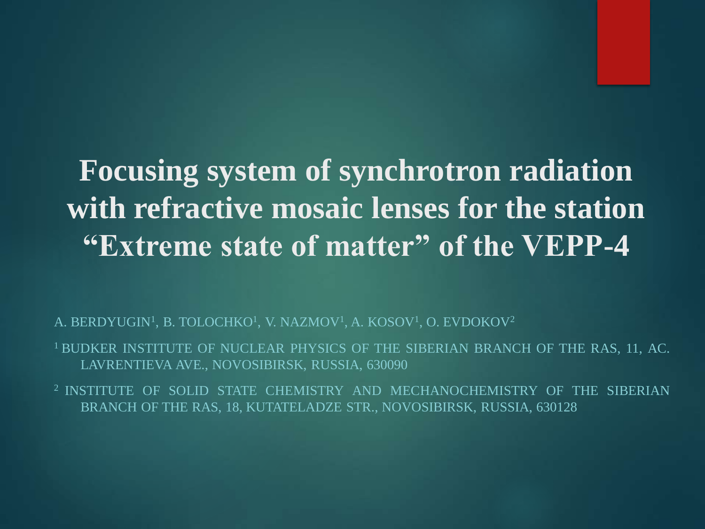#### **Focusing system of synchrotron radiation with refractive mosaic lenses for the station "Extreme state of matter" of the VEPP-4**

A. BERDYUGIN<sup>1</sup>, B. TOLOCHKO<sup>1</sup>, V. NAZMOV<sup>1</sup>, A. KOSOV<sup>1</sup>, O. EVDOKOV<sup>2</sup>

<sup>1</sup> BUDKER INSTITUTE OF NUCLEAR PHYSICS OF THE SIBERIAN BRANCH OF THE RAS, 11, AC. LAVRENTIEVA AVE., NOVOSIBIRSK, RUSSIA, 630090

2 INSTITUTE OF SOLID STATE CHEMISTRY AND MECHANOCHEMISTRY OF THE SIBERIAN BRANCH OF THE RAS, 18, KUTATELADZE STR., NOVOSIBIRSK, RUSSIA, 630128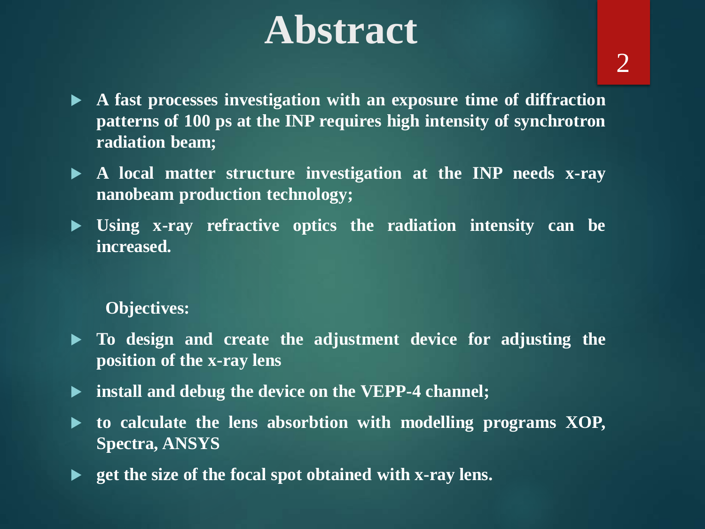#### **Abstract**

- **A fast processes investigation with an exposure time of diffraction patterns of 100 ps at the INP requires high intensity of synchrotron radiation beam;**
- **A local matter structure investigation at the INP needs x-ray nanobeam production technology;**
- **Using x-ray refractive optics the radiation intensity can be increased.**

#### **Objectives:**

- **To design and create the adjustment device for adjusting the position of the x-ray lens**
- **install and debug the device on the VEPP-4 channel;**
- **to calculate the lens absorbtion with modelling programs XOP, Spectra, ANSYS**
- **get the size of the focal spot obtained with x-ray lens.**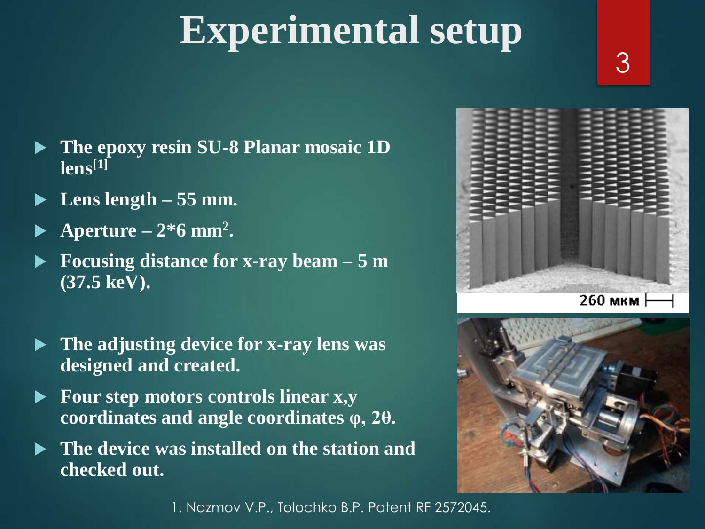# **Experimental setup**

- **The epoxy resin SU-8 Planar mosaic 1D lens[1]**
- **Lens length – 55 mm.**
- $\blacktriangleright$  Aperture 2\*6 mm<sup>2</sup>.
- **Focusing distance for x-ray beam – 5 m (37.5 keV).**
- **The adjusting device for x-ray lens was designed and created.**
- **Four step motors controls linear x,y coordinates and angle coordinates φ, 2θ.**
- **The device was installed on the station and checked out.**



3



1. Nazmov V.P., Tolochko B.P. Patent RF 2572045.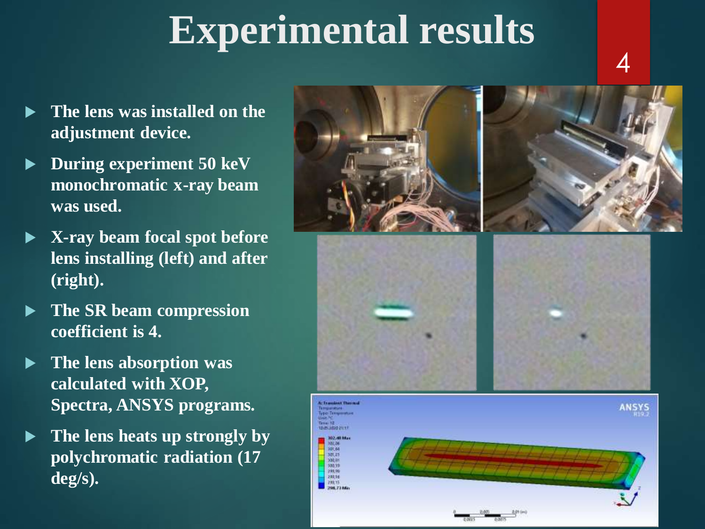### **Experimental results**

- **The lens was installed on the adjustment device.**
- **During experiment 50 keV monochromatic x-ray beam was used.**
- **X-ray beam focal spot before lens installing (left) and after (right).**
- **The SR beam compression coefficient is 4.**
- **The lens absorption was calculated with XOP, Spectra, ANSYS programs.**
- **The lens heats up strongly by polychromatic radiation (17 deg/s).**